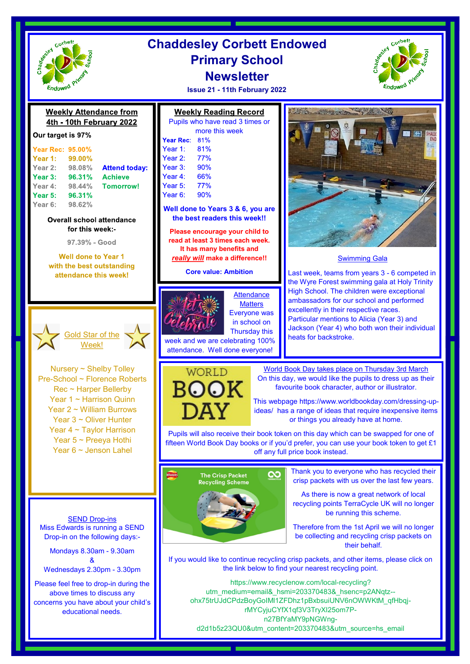

# **Chaddesley Corbett Endowed Primary School Newsletter**



**Issue 21 - 11th February 2022**

| <b>Weekly Attendance from</b><br>4th - 10th February 2022<br>Our target is 97%<br><b>Year Rec: 95.00%</b><br>Year 1:<br>99.00%<br>98.08%<br>Year 2:<br><b>Attend today:</b><br><b>Achieve</b><br>Year 3:<br>96.31%<br>Year 4:<br>98.44%<br><b>Tomorrow!</b><br>Year 5:<br>96.31%<br>98.62%<br>Year 6:<br><b>Overall school attendance</b><br>for this week:<br>97.39% - Good<br><b>Well done to Year 1</b><br>with the best outstanding<br>attendance this week! | <b>Weekly Reading Record</b><br>Pupils who have read 3 times or<br>more this week<br>81%<br>Year Rec:<br>81%<br>Year 1:<br>Year 2:<br>77%<br>Year 3:<br>90%<br>66%<br>Year 4:<br>Year 5:<br>77%<br>Year 6:<br>90%<br>Well done to Years 3 & 6, you are<br>the best readers this week!!<br>Please encourage your child to<br>read at least 3 times each week.<br>It has many benefits and<br>really will make a difference!!<br><b>Core value: Ambition</b><br>Attendance<br><b>Matters</b><br>Everyone was<br>in school on | A LATER AND MARKETING THE REAL PROPERTY.<br>$\blacksquare$<br><b>SHALLO</b><br>END<br><b>Swimming Gala</b><br>Last week, teams from years 3 - 6 competed in<br>the Wyre Forest swimming gala at Holy Trinity<br>High School. The children were exceptional<br>ambassadors for our school and performed<br>excellently in their respective races.<br>Particular mentions to Alicia (Year 3) and<br>Jackson (Year 4) who both won their individual                                                                                                                                                                                                                                    |
|------------------------------------------------------------------------------------------------------------------------------------------------------------------------------------------------------------------------------------------------------------------------------------------------------------------------------------------------------------------------------------------------------------------------------------------------------------------|----------------------------------------------------------------------------------------------------------------------------------------------------------------------------------------------------------------------------------------------------------------------------------------------------------------------------------------------------------------------------------------------------------------------------------------------------------------------------------------------------------------------------|-------------------------------------------------------------------------------------------------------------------------------------------------------------------------------------------------------------------------------------------------------------------------------------------------------------------------------------------------------------------------------------------------------------------------------------------------------------------------------------------------------------------------------------------------------------------------------------------------------------------------------------------------------------------------------------|
| Gold Star of the<br>Week!<br>Nursery ~ Shelby Tolley<br>Pre-School ~ Florence Roberts<br>Rec ~ Harper Bellerby<br>Year 1 ~ Harrison Quinn<br>Year $2 \sim$ William Burrows<br>Year $3 \sim$ Oliver Hunter<br>Year 4 ~ Taylor Harrison<br>Year 5 ~ Preeya Hothi<br>Year 6 ~ Jenson Lahel                                                                                                                                                                          | Thursday this<br>week and we are celebrating 100%<br>attendance. Well done everyone!<br>WORLD<br>BOOK<br>DAY<br><u>လ္က</u><br>WALKERS<br><b>The Crisp Packet</b><br><b>Recycling Scheme</b>                                                                                                                                                                                                                                                                                                                                | heats for backstroke.<br>World Book Day takes place on Thursday 3rd March<br>On this day, we would like the pupils to dress up as their<br>favourite book character, author or illustrator.<br>This webpage https://www.worldbookday.com/dressing-up-<br>ideas/ has a range of ideas that require inexpensive items<br>or things you already have at home.<br>Pupils will also receive their book token on this day which can be swapped for one of<br>fifteen World Book Day books or if you'd prefer, you can use your book token to get £1<br>off any full price book instead.<br>Thank you to everyone who has recycled their<br>crisp packets with us over the last few years. |
| <b>SEND Drop-ins</b><br>Miss Edwards is running a SEND<br>Drop-in on the following days:-<br>Mondays 8.30am - 9.30am<br>&<br>Wednesdays 2.30pm - 3.30pm<br>Please feel free to drop-in during the<br>above times to discuss any<br>concerns you have about your child's<br>educational needs.                                                                                                                                                                    |                                                                                                                                                                                                                                                                                                                                                                                                                                                                                                                            | As there is now a great network of local<br>recycling points TerraCycle UK will no longer<br>be running this scheme.<br>Therefore from the 1st April we will no longer<br>be collecting and recycling crisp packets on<br>their behalf.<br>If you would like to continue recycling crisp packets, and other items, please click on<br>the link below to find your nearest recycling point.<br>https://www.recyclenow.com/local-recycling?<br>utm_medium=email&_hsmi=203370483&_hsenc=p2ANqtz--<br>ohx75trUJdCPdzBoyGoIMI1ZFDhz1pBxbsuiUNV6nOWWKtM_qfHbqj-<br>rMYCyjuCYfX1qf3V3TryXl25om7P-<br>n27BfYaMY9pNGWng-<br>d2d1b5z23QU0&utm_content=203370483&utm_source=hs_email           |